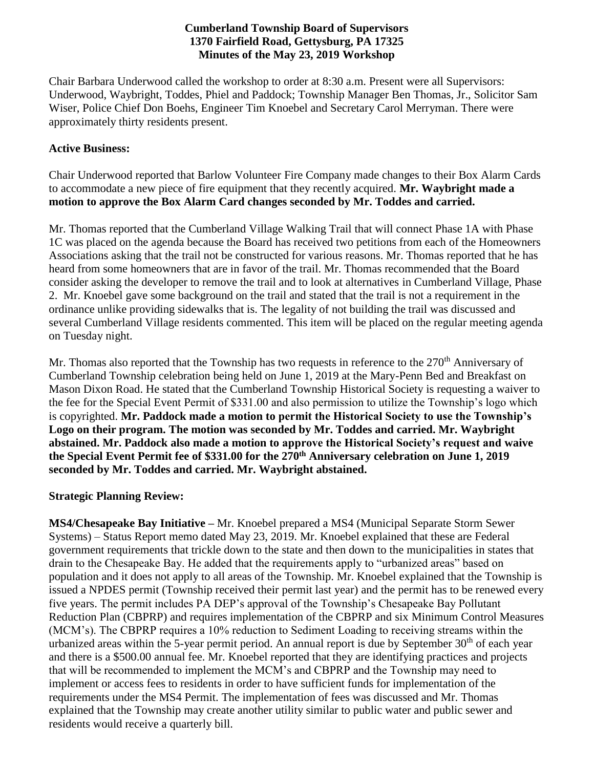## **Cumberland Township Board of Supervisors 1370 Fairfield Road, Gettysburg, PA 17325 Minutes of the May 23, 2019 Workshop**

Chair Barbara Underwood called the workshop to order at 8:30 a.m. Present were all Supervisors: Underwood, Waybright, Toddes, Phiel and Paddock; Township Manager Ben Thomas, Jr., Solicitor Sam Wiser, Police Chief Don Boehs, Engineer Tim Knoebel and Secretary Carol Merryman. There were approximately thirty residents present.

## **Active Business:**

Chair Underwood reported that Barlow Volunteer Fire Company made changes to their Box Alarm Cards to accommodate a new piece of fire equipment that they recently acquired. **Mr. Waybright made a motion to approve the Box Alarm Card changes seconded by Mr. Toddes and carried.**

Mr. Thomas reported that the Cumberland Village Walking Trail that will connect Phase 1A with Phase 1C was placed on the agenda because the Board has received two petitions from each of the Homeowners Associations asking that the trail not be constructed for various reasons. Mr. Thomas reported that he has heard from some homeowners that are in favor of the trail. Mr. Thomas recommended that the Board consider asking the developer to remove the trail and to look at alternatives in Cumberland Village, Phase 2. Mr. Knoebel gave some background on the trail and stated that the trail is not a requirement in the ordinance unlike providing sidewalks that is. The legality of not building the trail was discussed and several Cumberland Village residents commented. This item will be placed on the regular meeting agenda on Tuesday night.

Mr. Thomas also reported that the Township has two requests in reference to the 270<sup>th</sup> Anniversary of Cumberland Township celebration being held on June 1, 2019 at the Mary-Penn Bed and Breakfast on Mason Dixon Road. He stated that the Cumberland Township Historical Society is requesting a waiver to the fee for the Special Event Permit of \$331.00 and also permission to utilize the Township's logo which is copyrighted. **Mr. Paddock made a motion to permit the Historical Society to use the Township's Logo on their program. The motion was seconded by Mr. Toddes and carried. Mr. Waybright abstained. Mr. Paddock also made a motion to approve the Historical Society's request and waive the Special Event Permit fee of \$331.00 for the 270th Anniversary celebration on June 1, 2019 seconded by Mr. Toddes and carried. Mr. Waybright abstained.**

## **Strategic Planning Review:**

**MS4/Chesapeake Bay Initiative –** Mr. Knoebel prepared a MS4 (Municipal Separate Storm Sewer Systems) – Status Report memo dated May 23, 2019. Mr. Knoebel explained that these are Federal government requirements that trickle down to the state and then down to the municipalities in states that drain to the Chesapeake Bay. He added that the requirements apply to "urbanized areas" based on population and it does not apply to all areas of the Township. Mr. Knoebel explained that the Township is issued a NPDES permit (Township received their permit last year) and the permit has to be renewed every five years. The permit includes PA DEP's approval of the Township's Chesapeake Bay Pollutant Reduction Plan (CBPRP) and requires implementation of the CBPRP and six Minimum Control Measures (MCM's). The CBPRP requires a 10% reduction to Sediment Loading to receiving streams within the urbanized areas within the 5-year permit period. An annual report is due by September  $30<sup>th</sup>$  of each year and there is a \$500.00 annual fee. Mr. Knoebel reported that they are identifying practices and projects that will be recommended to implement the MCM's and CBPRP and the Township may need to implement or access fees to residents in order to have sufficient funds for implementation of the requirements under the MS4 Permit. The implementation of fees was discussed and Mr. Thomas explained that the Township may create another utility similar to public water and public sewer and residents would receive a quarterly bill.